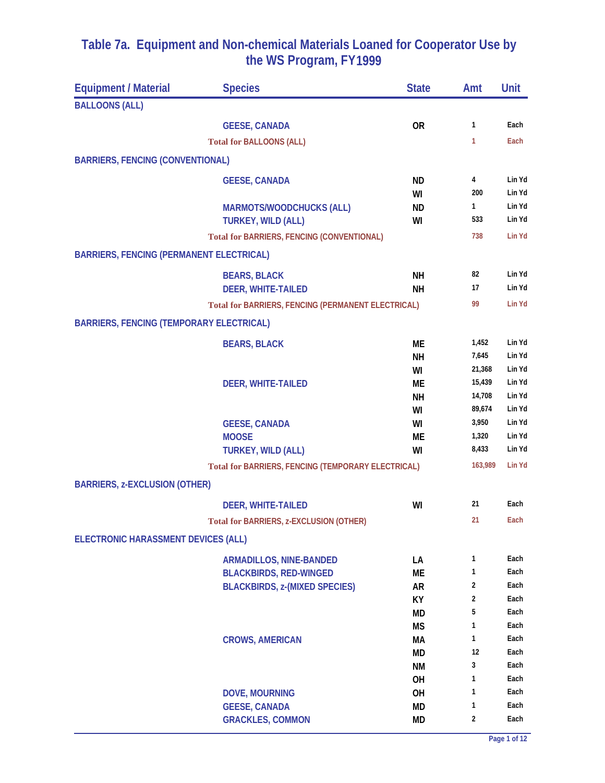| <b>Equipment / Material</b>                     | <b>Species</b>                                            | <b>State</b> | Amt          | Unit   |
|-------------------------------------------------|-----------------------------------------------------------|--------------|--------------|--------|
| <b>BALLOONS (ALL)</b>                           |                                                           |              |              |        |
|                                                 | <b>GEESE, CANADA</b>                                      | <b>OR</b>    | 1            | Each   |
|                                                 | <b>Total for BALLOONS (ALL)</b>                           |              | 1            | Each   |
| <b>BARRIERS, FENCING (CONVENTIONAL)</b>         |                                                           |              |              |        |
|                                                 | <b>GEESE, CANADA</b>                                      | <b>ND</b>    | 4            | Lin Yd |
|                                                 |                                                           | WI           | 200          | Lin Yd |
|                                                 | <b>MARMOTS/WOODCHUCKS (ALL)</b>                           | <b>ND</b>    | $\mathbf{1}$ | Lin Yd |
|                                                 | <b>TURKEY, WILD (ALL)</b>                                 | WI           | 533          | Lin Yd |
|                                                 | <b>Total for BARRIERS, FENCING (CONVENTIONAL)</b>         |              | 738          | Lin Yd |
| <b>BARRIERS, FENCING (PERMANENT ELECTRICAL)</b> |                                                           |              |              |        |
|                                                 | <b>BEARS, BLACK</b>                                       | <b>NH</b>    | 82           | Lin Yd |
|                                                 | <b>DEER, WHITE-TAILED</b>                                 | <b>NH</b>    | 17           | Lin Yd |
|                                                 | <b>Total for BARRIERS, FENCING (PERMANENT ELECTRICAL)</b> |              | 99           | Lin Yd |
| <b>BARRIERS, FENCING (TEMPORARY ELECTRICAL)</b> |                                                           |              |              |        |
|                                                 | <b>BEARS, BLACK</b>                                       | <b>ME</b>    | 1,452        | Lin Yd |
|                                                 |                                                           | <b>NH</b>    | 7,645        | Lin Yd |
|                                                 |                                                           | WI           | 21,368       | Lin Yd |
|                                                 | <b>DEER, WHITE-TAILED</b>                                 | МE           | 15,439       | Lin Yd |
|                                                 |                                                           | <b>NH</b>    | 14,708       | Lin Yd |
|                                                 |                                                           | WI           | 89,674       | Lin Yd |
|                                                 | <b>GEESE, CANADA</b>                                      | WI           | 3,950        | Lin Yd |
|                                                 | <b>MOOSE</b>                                              | <b>ME</b>    | 1,320        | Lin Yd |
|                                                 | <b>TURKEY, WILD (ALL)</b>                                 | WI           | 8,433        | Lin Yd |
|                                                 | Total for BARRIERS, FENCING (TEMPORARY ELECTRICAL)        |              | 163,989      | Lin Yd |
| <b>BARRIERS, z-EXCLUSION (OTHER)</b>            |                                                           |              |              |        |
|                                                 | <b>DEER, WHITE-TAILED</b>                                 | WI           | 21           | Each   |
|                                                 | Total for BARRIERS, z-EXCLUSION (OTHER)                   |              | 21           | Each   |
| ELECTRONIC HARASSMENT DEVICES (ALL)             |                                                           |              |              |        |
|                                                 | <b>ARMADILLOS, NINE-BANDED</b>                            | LA           | 1            | Each   |
|                                                 | <b>BLACKBIRDS, RED-WINGED</b>                             | ME           | 1            | Each   |
|                                                 | <b>BLACKBIRDS, z-(MIXED SPECIES)</b>                      | <b>AR</b>    | 2            | Each   |
|                                                 |                                                           | KY           | 2            | Each   |
|                                                 |                                                           | MD           | 5            | Each   |
|                                                 |                                                           | <b>MS</b>    | 1            | Each   |
|                                                 | <b>CROWS, AMERICAN</b>                                    | МA           | 1            | Each   |
|                                                 |                                                           | <b>MD</b>    | 12           | Each   |
|                                                 |                                                           | <b>NM</b>    | 3            | Each   |
|                                                 |                                                           | OH           | 1            | Each   |
|                                                 | <b>DOVE, MOURNING</b>                                     | <b>OH</b>    | 1            | Each   |
|                                                 | <b>GEESE, CANADA</b>                                      | MD           | 1            | Each   |
|                                                 | <b>GRACKLES, COMMON</b>                                   | MD           | 2            | Each   |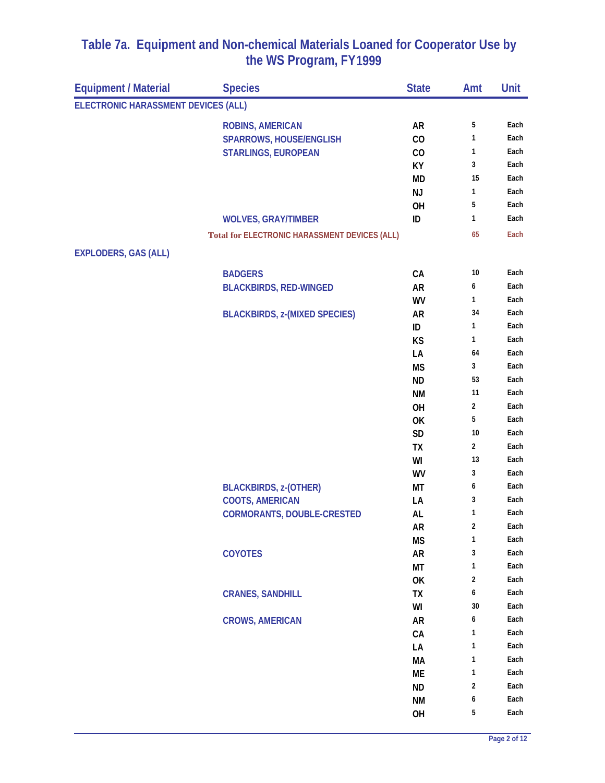| <b>Equipment / Material</b>         | <b>Species</b>                                       | <b>State</b> | Amt            | Unit         |
|-------------------------------------|------------------------------------------------------|--------------|----------------|--------------|
| ELECTRONIC HARASSMENT DEVICES (ALL) |                                                      |              |                |              |
|                                     | <b>ROBINS, AMERICAN</b>                              | <b>AR</b>    | 5              | Each         |
|                                     | <b>SPARROWS, HOUSE/ENGLISH</b>                       | CO           | 1              | Each         |
|                                     | <b>STARLINGS, EUROPEAN</b>                           | CO           | 1              | Each         |
|                                     |                                                      | KY           | 3              | Each         |
|                                     |                                                      | <b>MD</b>    | 15             | Each         |
|                                     |                                                      | <b>NJ</b>    | 1              | Each         |
|                                     |                                                      | OH           | 5              | Each         |
|                                     | <b>WOLVES, GRAY/TIMBER</b>                           | ID           | 1              | Each         |
|                                     | <b>Total for ELECTRONIC HARASSMENT DEVICES (ALL)</b> |              | 65             | Each         |
| <b>EXPLODERS, GAS (ALL)</b>         |                                                      |              |                |              |
|                                     | <b>BADGERS</b>                                       | CA           | 10             | Each         |
|                                     | <b>BLACKBIRDS, RED-WINGED</b>                        | <b>AR</b>    | 6              | Each         |
|                                     |                                                      | WV           | 1              | Each         |
|                                     | <b>BLACKBIRDS, z-(MIXED SPECIES)</b>                 | AR           | 34             | Each         |
|                                     |                                                      | ID           | 1              | Each         |
|                                     |                                                      | KS           | 1              | Each         |
|                                     |                                                      | LA           | 64             | Each         |
|                                     |                                                      | <b>MS</b>    | 3              | Each         |
|                                     |                                                      | <b>ND</b>    | 53             | Each         |
|                                     |                                                      | <b>NM</b>    | 11             | Each         |
|                                     |                                                      | OH           | $\mathbf{2}$   | Each         |
|                                     |                                                      | OK           | 5              | Each         |
|                                     |                                                      | <b>SD</b>    | 10             | Each         |
|                                     |                                                      | TX           | $\overline{2}$ | Each         |
|                                     |                                                      | WI           | 13             | Each         |
|                                     |                                                      | WV           | 3              | Each         |
|                                     | <b>BLACKBIRDS, z-(OTHER)</b>                         | МT           | 6              | Each         |
|                                     | <b>COOTS, AMERICAN</b>                               | LA           | 3              | Each         |
|                                     | <b>CORMORANTS, DOUBLE-CRESTED</b>                    | AL           | 1              | Each         |
|                                     |                                                      | AR           | 2              | Each         |
|                                     |                                                      | <b>MS</b>    | 1              | Each         |
|                                     | <b>COYOTES</b>                                       | <b>AR</b>    | 3              | Each         |
|                                     |                                                      | МT           | 1              | Each         |
|                                     |                                                      | OK           | 2              | Each<br>Each |
|                                     | <b>CRANES, SANDHILL</b>                              | TX           | 6<br>30        | Each         |
|                                     |                                                      | WI           | 6              | Each         |
|                                     | <b>CROWS, AMERICAN</b>                               | <b>AR</b>    | 1              | Each         |
|                                     |                                                      | CA           | 1              | Each         |
|                                     |                                                      | LA<br>MA     | 1              | Each         |
|                                     |                                                      | ME           | 1              | Each         |
|                                     |                                                      | <b>ND</b>    | 2              | Each         |
|                                     |                                                      | <b>NM</b>    | 6              | Each         |
|                                     |                                                      | OH           | 5              | Each         |
|                                     |                                                      |              |                |              |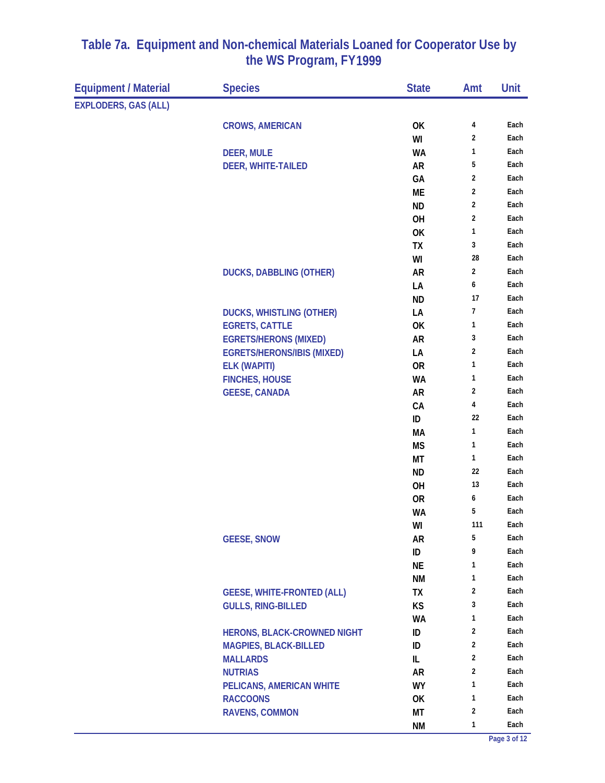| <b>Equipment / Material</b> | <b>Species</b>                     | <b>State</b> | Amt              | Unit |
|-----------------------------|------------------------------------|--------------|------------------|------|
| EXPLODERS, GAS (ALL)        |                                    |              |                  |      |
|                             | <b>CROWS, AMERICAN</b>             | OK           | 4                | Each |
|                             |                                    | WI           | 2                | Each |
|                             | <b>DEER, MULE</b>                  | <b>WA</b>    | 1                | Each |
|                             | <b>DEER, WHITE-TAILED</b>          | <b>AR</b>    | 5                | Each |
|                             |                                    | GA           | 2                | Each |
|                             |                                    | ME           | 2                | Each |
|                             |                                    | <b>ND</b>    | 2                | Each |
|                             |                                    | OH           | 2                | Each |
|                             |                                    | OK           | 1                | Each |
|                             |                                    | TX           | 3                | Each |
|                             |                                    | WI           | 28               | Each |
|                             | <b>DUCKS, DABBLING (OTHER)</b>     | <b>AR</b>    | 2                | Each |
|                             |                                    | LA           | 6                | Each |
|                             |                                    | <b>ND</b>    | 17               | Each |
|                             | <b>DUCKS, WHISTLING (OTHER)</b>    | LA           | $\boldsymbol{7}$ | Each |
|                             | <b>EGRETS, CATTLE</b>              | 0K           | 1                | Each |
|                             | <b>EGRETS/HERONS (MIXED)</b>       | <b>AR</b>    | 3                | Each |
|                             | <b>EGRETS/HERONS/IBIS (MIXED)</b>  | LA           | 2                | Each |
|                             | <b>ELK (WAPITI)</b>                | <b>OR</b>    | 1                | Each |
|                             | <b>FINCHES, HOUSE</b>              | <b>WA</b>    | 1                | Each |
|                             | <b>GEESE, CANADA</b>               | <b>AR</b>    | $\sqrt{2}$       | Each |
|                             |                                    | CA           | 4                | Each |
|                             |                                    | ID           | 22               | Each |
|                             |                                    | МA           | 1                | Each |
|                             |                                    | <b>MS</b>    | 1                | Each |
|                             |                                    | МT           | 1                | Each |
|                             |                                    | <b>ND</b>    | 22               | Each |
|                             |                                    | OH           | 13               | Each |
|                             |                                    | <b>OR</b>    | 6                | Each |
|                             |                                    | <b>WA</b>    | 5                | Each |
|                             |                                    | WI           | 111              | Each |
|                             | <b>GEESE, SNOW</b>                 | <b>AR</b>    | 5                | Each |
|                             |                                    | ID           | 9                | Each |
|                             |                                    | <b>NE</b>    | 1                | Each |
|                             |                                    | ΝM           | 1                | Each |
|                             | <b>GEESE, WHITE-FRONTED (ALL)</b>  | TX           | 2                | Each |
|                             | <b>GULLS, RING-BILLED</b>          | <b>KS</b>    | 3                | Each |
|                             |                                    | <b>WA</b>    | 1                | Each |
|                             | <b>HERONS, BLACK-CROWNED NIGHT</b> | ID           | 2                | Each |
|                             | <b>MAGPIES, BLACK-BILLED</b>       | ID           | 2                | Each |
|                             | <b>MALLARDS</b>                    | IL           | 2                | Each |
|                             | <b>NUTRIAS</b>                     | <b>AR</b>    | 2                | Each |
|                             | PELICANS, AMERICAN WHITE           | <b>WY</b>    | 1                | Each |
|                             | <b>RACCOONS</b>                    | 0K           | 1                | Each |
|                             | <b>RAVENS, COMMON</b>              | МT           | 2                | Each |
|                             |                                    | <b>NM</b>    | 1                | Each |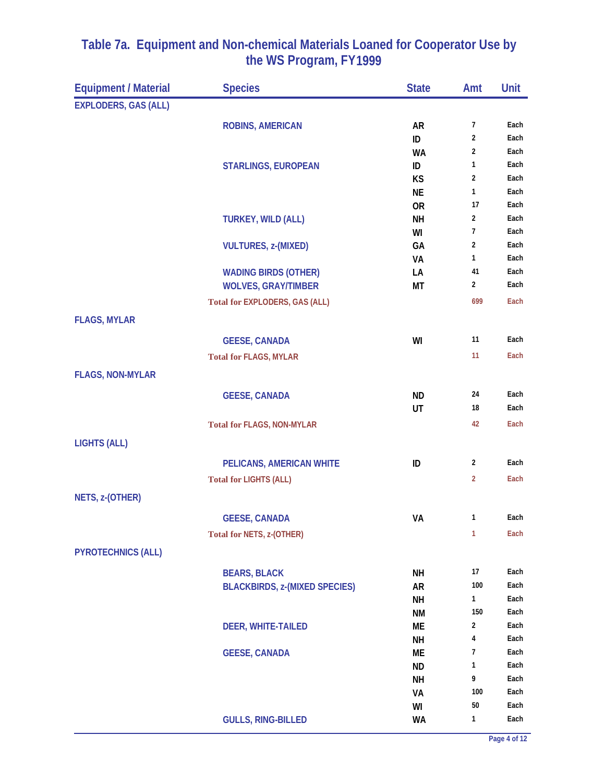| <b>Equipment / Material</b> | <b>Species</b>                        | <b>State</b>           | Amt                     | Unit         |
|-----------------------------|---------------------------------------|------------------------|-------------------------|--------------|
| <b>EXPLODERS, GAS (ALL)</b> |                                       |                        |                         |              |
|                             | <b>ROBINS, AMERICAN</b>               | <b>AR</b>              | $\overline{7}$          | Each         |
|                             |                                       | ID                     | $\overline{\mathbf{c}}$ | Each         |
|                             |                                       | <b>WA</b>              | 2                       | Each         |
|                             | <b>STARLINGS, EUROPEAN</b>            | ID                     | 1                       | Each         |
|                             |                                       | KS                     | $\overline{2}$          | Each         |
|                             |                                       | <b>NE</b>              | 1                       | Each         |
|                             |                                       | <b>OR</b><br><b>NH</b> | 17<br>$\overline{2}$    | Each<br>Each |
|                             | <b>TURKEY, WILD (ALL)</b>             | WI                     | $\overline{1}$          | Each         |
|                             | <b>VULTURES, z-(MIXED)</b>            | GA                     | 2                       | Each         |
|                             |                                       | VA                     | 1                       | Each         |
|                             | <b>WADING BIRDS (OTHER)</b>           | LA                     | 41                      | Each         |
|                             | <b>WOLVES, GRAY/TIMBER</b>            | МT                     | $\overline{2}$          | Each         |
|                             | <b>Total for EXPLODERS, GAS (ALL)</b> |                        | 699                     | Each         |
| <b>FLAGS, MYLAR</b>         |                                       |                        |                         |              |
|                             | <b>GEESE, CANADA</b>                  | WI                     | 11                      | Each         |
|                             | <b>Total for FLAGS, MYLAR</b>         |                        | 11                      | Each         |
| <b>FLAGS, NON-MYLAR</b>     |                                       |                        |                         |              |
|                             |                                       |                        |                         |              |
|                             | <b>GEESE, CANADA</b>                  | <b>ND</b><br>UT        | 24<br>18                | Each<br>Each |
|                             |                                       |                        | 42                      | Each         |
|                             | <b>Total for FLAGS, NON-MYLAR</b>     |                        |                         |              |
| <b>LIGHTS (ALL)</b>         |                                       |                        |                         |              |
|                             | PELICANS, AMERICAN WHITE              | ID                     | $\overline{2}$          | Each         |
|                             | <b>Total for LIGHTS (ALL)</b>         |                        | 2                       | Each         |
| NETS, z-(OTHER)             |                                       |                        |                         |              |
|                             | <b>GEESE, CANADA</b>                  | VA                     | 1                       | Each         |
|                             | <b>Total for NETS, z-(OTHER)</b>      |                        | $\mathbf{1}$            | Each         |
| <b>PYROTECHNICS (ALL)</b>   |                                       |                        |                         |              |
|                             |                                       |                        |                         |              |
|                             | <b>BEARS, BLACK</b>                   | <b>NH</b>              | 17<br>100               | Each         |
|                             | <b>BLACKBIRDS, z-(MIXED SPECIES)</b>  | <b>AR</b><br><b>NH</b> | 1                       | Each<br>Each |
|                             |                                       | ΝM                     | 150                     | Each         |
|                             | <b>DEER, WHITE-TAILED</b>             | ME                     | 2                       | Each         |
|                             |                                       | <b>NH</b>              | 4                       | Each         |
|                             | <b>GEESE, CANADA</b>                  | МE                     | 7                       | Each         |
|                             |                                       | <b>ND</b>              | 1                       | Each         |
|                             |                                       | <b>NH</b>              | 9                       | Each         |
|                             |                                       | VA                     | 100                     | Each         |
|                             |                                       | WI                     | 50                      | Each         |
|                             | <b>GULLS, RING-BILLED</b>             | <b>WA</b>              | 1                       | Each         |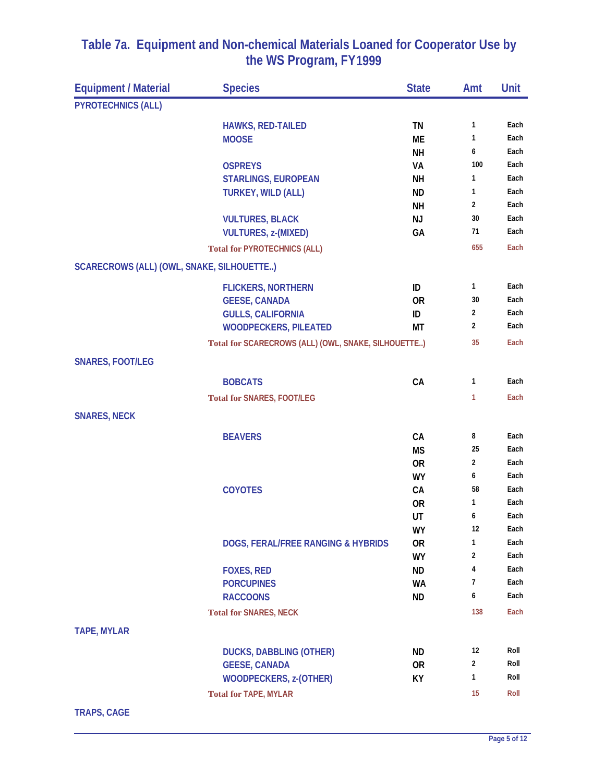| <b>Equipment / Material</b>               | <b>Species</b>                                      | <b>State</b> | Amt            | Unit         |
|-------------------------------------------|-----------------------------------------------------|--------------|----------------|--------------|
| <b>PYROTECHNICS (ALL)</b>                 |                                                     |              |                |              |
|                                           | HAWKS, RED-TAILED                                   | TN           | 1              | Each         |
|                                           | <b>MOOSE</b>                                        | ME           | 1              | Each         |
|                                           |                                                     | NΗ           | 6              | Each         |
|                                           | <b>OSPREYS</b>                                      | VA           | 100            | Each         |
|                                           | <b>STARLINGS, EUROPEAN</b>                          | <b>NH</b>    | 1              | Each         |
|                                           | <b>TURKEY, WILD (ALL)</b>                           | <b>ND</b>    | 1              | Each         |
|                                           |                                                     | <b>NH</b>    | $\overline{2}$ | Each         |
|                                           | <b>VULTURES, BLACK</b>                              | <b>NJ</b>    | 30             | Each         |
|                                           | <b>VULTURES, z-(MIXED)</b>                          | GA           | 71             | Each         |
|                                           | <b>Total for PYROTECHNICS (ALL)</b>                 |              | 655            | Each         |
| SCARECROWS (ALL) (OWL, SNAKE, SILHOUETTE) |                                                     |              |                |              |
|                                           | <b>FLICKERS, NORTHERN</b>                           | ID           | 1              | Each         |
|                                           | <b>GEESE, CANADA</b>                                | <b>OR</b>    | 30             | Each         |
|                                           | <b>GULLS, CALIFORNIA</b>                            | ID           | $\overline{2}$ | Each         |
|                                           | <b>WOODPECKERS, PILEATED</b>                        | МT           | $\overline{2}$ | Each         |
|                                           | Total for SCARECROWS (ALL) (OWL, SNAKE, SILHOUETTE) |              | 35             | Each         |
| <b>SNARES, FOOT/LEG</b>                   |                                                     |              |                |              |
|                                           | <b>BOBCATS</b>                                      | CA           | 1              | Each         |
|                                           | <b>Total for SNARES, FOOT/LEG</b>                   |              | 1              | Each         |
| <b>SNARES, NECK</b>                       |                                                     |              |                |              |
|                                           | <b>BEAVERS</b>                                      | CA           | 8              | Each         |
|                                           |                                                     | <b>MS</b>    | 25             | Each         |
|                                           |                                                     | <b>OR</b>    | $\overline{2}$ | Each         |
|                                           |                                                     | <b>WY</b>    | 6              | Each         |
|                                           | <b>COYOTES</b>                                      | CA           | 58             | Each         |
|                                           |                                                     | <b>OR</b>    | 1              | Each         |
|                                           |                                                     | UT           | 6              | Each         |
|                                           |                                                     | WY           | 12             | Each         |
|                                           | DOGS, FERAL/FREE RANGING & HYBRIDS                  | <b>OR</b>    | 1              | Each         |
|                                           |                                                     | <b>WY</b>    | $\overline{2}$ | Each         |
|                                           | <b>FOXES, RED</b>                                   | <b>ND</b>    | 4<br>7         | Each<br>Each |
|                                           | <b>PORCUPINES</b>                                   | <b>WA</b>    | 6              | Each         |
|                                           | <b>RACCOONS</b>                                     | <b>ND</b>    |                |              |
|                                           | <b>Total for SNARES, NECK</b>                       |              | 138            | Each         |
| <b>TAPE, MYLAR</b>                        |                                                     |              |                |              |
|                                           | <b>DUCKS, DABBLING (OTHER)</b>                      | <b>ND</b>    | 12             | Roll         |
|                                           | <b>GEESE, CANADA</b>                                | <b>OR</b>    | 2              | Roll         |
|                                           | <b>WOODPECKERS, z-(OTHER)</b>                       | KY           | 1              | Roll         |
|                                           | <b>Total for TAPE, MYLAR</b>                        |              | 15             | Roll         |

**TRAPS, CAGE**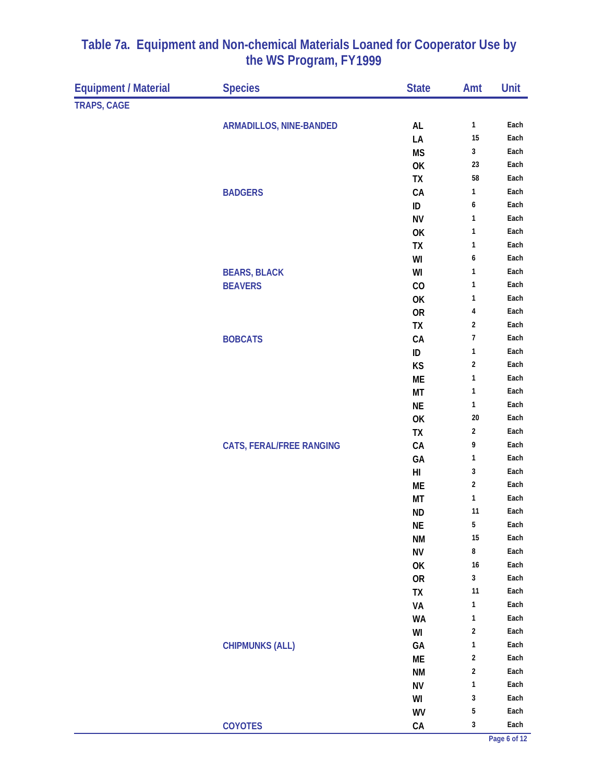| <b>Equipment / Material</b> | <b>Species</b>                  | <b>State</b>     | Amt                     | Unit |
|-----------------------------|---------------------------------|------------------|-------------------------|------|
| TRAPS, CAGE                 |                                 |                  |                         |      |
|                             |                                 |                  | $\mathbf{1}$            | Each |
|                             | <b>ARMADILLOS, NINE-BANDED</b>  | AL<br>LA         | 15                      | Each |
|                             |                                 | <b>MS</b>        | $\mathbf{3}$            | Each |
|                             |                                 | OK               | 23                      | Each |
|                             |                                 | TX               | 58                      | Each |
|                             | <b>BADGERS</b>                  | CA               | 1                       | Each |
|                             |                                 | ID               | 6                       | Each |
|                             |                                 | <b>NV</b>        | 1                       | Each |
|                             |                                 | OK               | 1                       | Each |
|                             |                                 | TX               | 1                       | Each |
|                             |                                 | WI               | 6                       | Each |
|                             | <b>BEARS, BLACK</b>             | WI               | 1                       | Each |
|                             | <b>BEAVERS</b>                  | CO               | 1                       | Each |
|                             |                                 | OK               | 1                       | Each |
|                             |                                 | <b>OR</b>        | $\overline{\mathbf{r}}$ | Each |
|                             |                                 | <b>TX</b>        | $\overline{2}$          | Each |
|                             | <b>BOBCATS</b>                  | ${\sf CA}$       | $\boldsymbol{7}$        | Each |
|                             |                                 | ID               | 1                       | Each |
|                             |                                 | KS               | $\overline{\mathbf{c}}$ | Each |
|                             |                                 | ME               | 1                       | Each |
|                             |                                 | MT               | 1                       | Each |
|                             |                                 | <b>NE</b>        | $\mathbf{1}$            | Each |
|                             |                                 | OK               | 20                      | Each |
|                             |                                 | TX               | $\sqrt{2}$              | Each |
|                             | <b>CATS, FERAL/FREE RANGING</b> | ${\sf CA}$       | 9                       | Each |
|                             |                                 | GA               | 1                       | Each |
|                             |                                 | H <sub>II</sub>  | 3                       | Each |
|                             |                                 | ME               | $\sqrt{2}$              | Each |
|                             |                                 | MT               | $\mathbf{1}$            | Each |
|                             |                                 | <b>ND</b>        | 11                      | Each |
|                             |                                 | NE               | 5                       | Each |
|                             |                                 | <b>NM</b>        | 15                      | Each |
|                             |                                 | ${\sf N}{\sf V}$ | 8                       | Each |
|                             |                                 | OK               | 16                      | Each |
|                             |                                 | <b>OR</b>        | $\mathbf 3$             | Each |
|                             |                                 | TX               | 11                      | Each |
|                             |                                 | VA               | $\mathbf{1}$            | Each |
|                             |                                 | <b>WA</b>        | 1                       | Each |
|                             |                                 | WI               | $\sqrt{2}$              | Each |
|                             | <b>CHIPMUNKS (ALL)</b>          | GA               | $\mathbf{1}$            | Each |
|                             |                                 | ME               | $\overline{\mathbf{c}}$ | Each |
|                             |                                 | <b>NM</b>        | $\boldsymbol{2}$        | Each |
|                             |                                 | <b>NV</b>        | 1                       | Each |
|                             |                                 | WI               | 3                       | Each |
|                             |                                 | WV               | 5                       | Each |
|                             | <b>COYOTES</b>                  | ${\sf CA}$       | $\mathbf{3}$            | Each |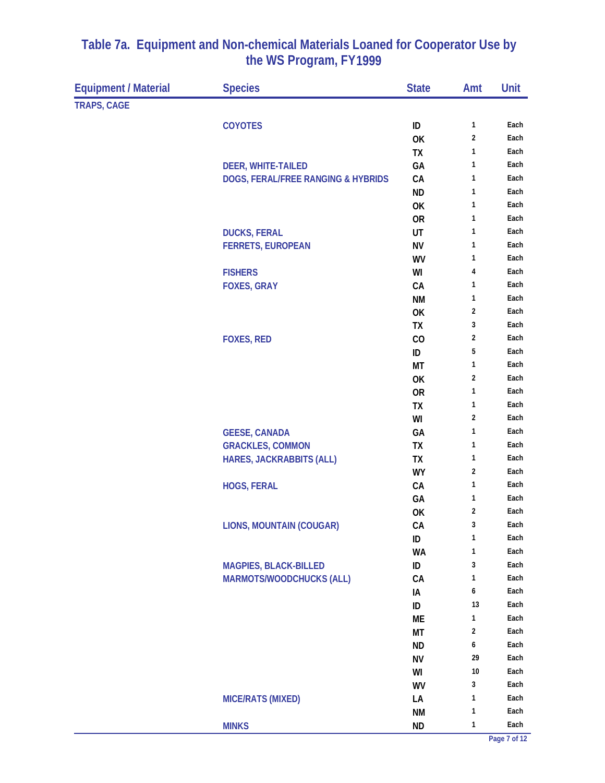| <b>Equipment / Material</b> | <b>Species</b>                     | <b>State</b>    | Amt                     | Unit         |
|-----------------------------|------------------------------------|-----------------|-------------------------|--------------|
| <b>TRAPS, CAGE</b>          |                                    |                 |                         |              |
|                             | <b>COYOTES</b>                     | ID              | $\mathbf{1}$            | Each         |
|                             |                                    | OK              | $\overline{\mathbf{c}}$ | Each         |
|                             |                                    | <b>TX</b>       | $\mathbf{1}$            | Each         |
|                             | <b>DEER, WHITE-TAILED</b>          | GA              | 1                       | Each         |
|                             | DOGS, FERAL/FREE RANGING & HYBRIDS | CA              | 1                       | Each         |
|                             |                                    | <b>ND</b>       | 1                       | Each         |
|                             |                                    | OK              | 1                       | Each         |
|                             |                                    | <b>OR</b>       | 1                       | Each         |
|                             | <b>DUCKS, FERAL</b>                | UT              | $\mathbf{1}$            | Each         |
|                             | <b>FERRETS, EUROPEAN</b>           | <b>NV</b>       | $\mathbf{1}$            | Each         |
|                             |                                    | WV              | $\mathbf{1}$            | Each         |
|                             | <b>FISHERS</b>                     | WI              | 4                       | Each         |
|                             | <b>FOXES, GRAY</b>                 | CA              | 1                       | Each         |
|                             |                                    | <b>NM</b>       | 1                       | Each         |
|                             |                                    | OK              | $\overline{2}$          | Each         |
|                             |                                    | TX              | 3                       | Each         |
|                             | <b>FOXES, RED</b>                  | CO              | 2                       | Each         |
|                             |                                    | ID              | 5                       | Each         |
|                             |                                    | MT              | 1                       | Each         |
|                             |                                    | OK              | 2                       | Each         |
|                             |                                    | <b>OR</b>       | 1                       | Each         |
|                             |                                    | TX              | 1<br>$\overline{2}$     | Each         |
|                             |                                    | WI              | 1                       | Each         |
|                             | <b>GEESE, CANADA</b>               | GA              | 1                       | Each<br>Each |
|                             | <b>GRACKLES, COMMON</b>            | TX              | 1                       | Each         |
|                             | <b>HARES, JACKRABBITS (ALL)</b>    | TX<br><b>WY</b> | $\overline{\mathbf{c}}$ | Each         |
|                             | <b>HOGS, FERAL</b>                 | CA              | 1                       | Each         |
|                             |                                    | GA              | 1                       | Each         |
|                             |                                    | OK              | $\overline{2}$          | Each         |
|                             | <b>LIONS, MOUNTAIN (COUGAR)</b>    | CA              | 3                       | Each         |
|                             |                                    | ID              | $\mathbf{1}$            | Each         |
|                             |                                    | <b>WA</b>       | 1                       | Each         |
|                             | <b>MAGPIES, BLACK-BILLED</b>       | ID              | 3                       | Each         |
|                             | <b>MARMOTS/WOODCHUCKS (ALL)</b>    | CA              | 1                       | Each         |
|                             |                                    | IA              | 6                       | Each         |
|                             |                                    | ID              | 13                      | Each         |
|                             |                                    | МE              | 1                       | Each         |
|                             |                                    | МT              | $\sqrt{2}$              | Each         |
|                             |                                    | <b>ND</b>       | 6                       | Each         |
|                             |                                    | <b>NV</b>       | 29                      | Each         |
|                             |                                    | WI              | $10\,$                  | Each         |
|                             |                                    | WV              | 3                       | Each         |
|                             | <b>MICE/RATS (MIXED)</b>           | LA              | 1                       | Each         |
|                             |                                    | <b>NM</b>       | 1                       | Each         |
|                             | <b>MINKS</b>                       | <b>ND</b>       | 1                       | Each         |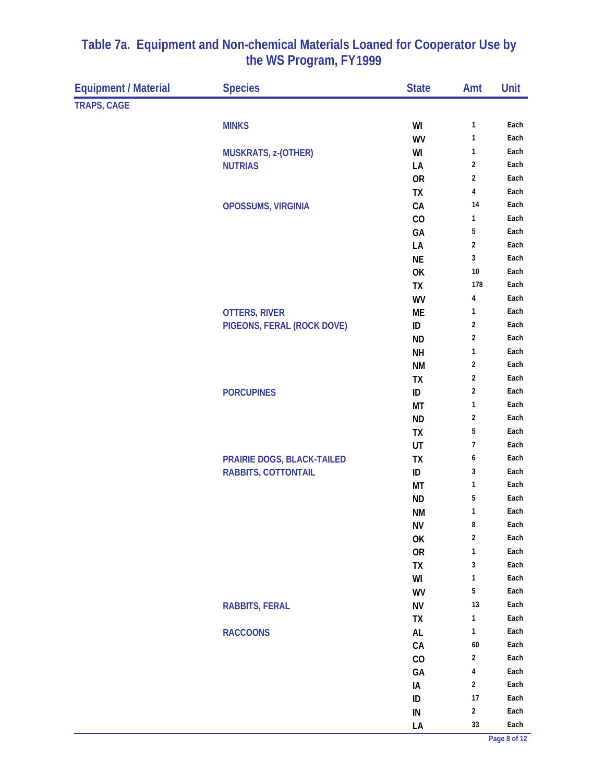| <b>Equipment / Material</b> | <b>Species</b>             | <b>State</b>     | Amt                     | Unit         |
|-----------------------------|----------------------------|------------------|-------------------------|--------------|
| <b>TRAPS, CAGE</b>          |                            |                  |                         |              |
|                             | <b>MINKS</b>               | WI               | 1                       | Each         |
|                             |                            | <b>WV</b>        | 1                       | Each         |
|                             | <b>MUSKRATS, z-(OTHER)</b> | WI               | 1                       | Each         |
|                             | <b>NUTRIAS</b>             | LA               | $\boldsymbol{2}$        | Each         |
|                             |                            | <b>OR</b>        | 2                       | Each         |
|                             |                            | TX               | 4                       | Each         |
|                             | OPOSSUMS, VIRGINIA         | CA               | 14                      | Each         |
|                             |                            | CO               | 1                       | Each         |
|                             |                            | GA               | 5                       | Each         |
|                             |                            | LA               | $\sqrt{2}$              | Each         |
|                             |                            | <b>NE</b>        | 3                       | Each         |
|                             |                            | OK               | $10\,$                  | Each         |
|                             |                            | TX               | 178                     | Each         |
|                             |                            | <b>WV</b>        | 4                       | Each         |
|                             | <b>OTTERS, RIVER</b>       | МE               | 1                       | Each         |
|                             | PIGEONS, FERAL (ROCK DOVE) | ID               | $\overline{2}$          | Each         |
|                             |                            | <b>ND</b>        | $\overline{\mathbf{c}}$ | Each         |
|                             |                            | <b>NH</b>        | $\mathbf{1}$            | Each         |
|                             |                            | <b>NM</b>        | 2                       | Each         |
|                             |                            | TX               | $\sqrt{2}$              | Each         |
|                             | <b>PORCUPINES</b>          | ID               | $\overline{\mathbf{c}}$ | Each         |
|                             |                            | MT               | 1                       | Each         |
|                             |                            | <b>ND</b>        | 2                       | Each         |
|                             |                            | <b>TX</b>        | 5                       | Each         |
|                             |                            | UT               | 7                       | Each         |
|                             | PRAIRIE DOGS, BLACK-TAILED | TX               | 6                       | Each         |
|                             | RABBITS, COTTONTAIL        | ID               | 3                       | Each         |
|                             |                            | MT               | 1                       | Each         |
|                             |                            | <b>ND</b>        | 5                       | Each         |
|                             |                            | <b>NM</b>        | 1                       | Each         |
|                             |                            | <b>NV</b>        | 8                       | Each         |
|                             |                            | OK               | 2                       | Each         |
|                             |                            | <b>OR</b>        | 1                       | Each         |
|                             |                            | TX               | 3                       | Each         |
|                             |                            | WI               | 1                       | Each         |
|                             |                            | <b>WV</b>        | 5                       | Each         |
|                             | <b>RABBITS, FERAL</b>      | <b>NV</b>        | 13<br>$\mathbf{1}$      | Each         |
|                             |                            | TX               |                         | Each<br>Each |
|                             | <b>RACCOONS</b>            | AL               | 1<br>$60\,$             | Each         |
|                             |                            | CA               | $\overline{\mathbf{c}}$ | Each         |
|                             |                            | CO               | 4                       | Each         |
|                             |                            | GA               | 2                       | Each         |
|                             |                            | IA               | 17                      | Each         |
|                             |                            | ID<br>${\sf IN}$ | $\overline{\mathbf{c}}$ | Each         |
|                             |                            |                  | 33                      | Each         |
|                             |                            | LA               |                         |              |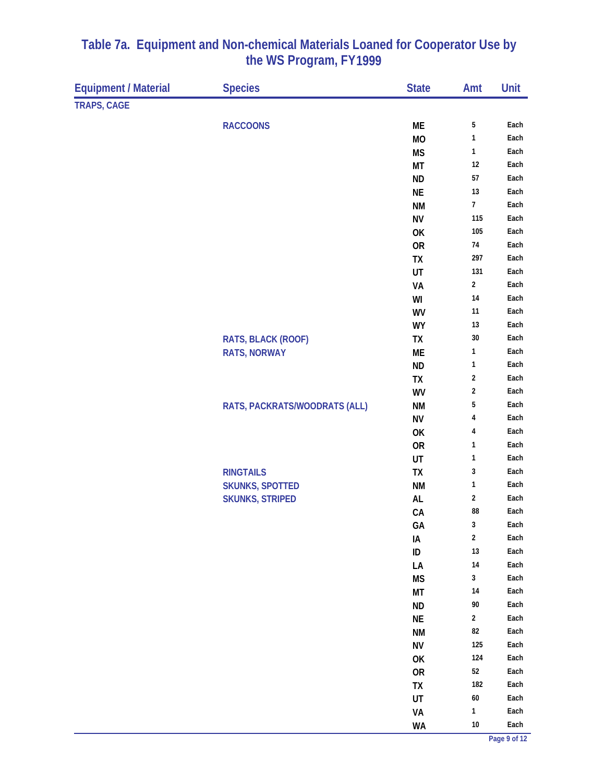| <b>Equipment / Material</b> | <b>Species</b>                | <b>State</b>    | Amt                | Unit         |
|-----------------------------|-------------------------------|-----------------|--------------------|--------------|
| <b>TRAPS, CAGE</b>          |                               |                 |                    |              |
|                             | <b>RACCOONS</b>               | ME              | 5                  | Each         |
|                             |                               | <b>MO</b>       | 1                  | Each         |
|                             |                               | <b>MS</b>       | 1                  | Each         |
|                             |                               | <b>MT</b>       | 12                 | Each         |
|                             |                               | <b>ND</b>       | 57                 | Each         |
|                             |                               | <b>NE</b>       | 13                 | Each         |
|                             |                               | <b>NM</b>       | $\overline{7}$     | Each         |
|                             |                               | <b>NV</b>       | 115                | Each         |
|                             |                               | OK              | 105                | Each         |
|                             |                               | <b>OR</b>       | 74                 | Each         |
|                             |                               | TX              | 297                | Each         |
|                             |                               | UT              | 131                | Each         |
|                             |                               | VA              | $\mathbf{2}$       | Each         |
|                             |                               | WI              | 14                 | Each         |
|                             |                               | WV              | 11                 | Each         |
|                             |                               | <b>WY</b>       | 13                 | Each         |
|                             | RATS, BLACK (ROOF)            | TX              | 30                 | Each         |
|                             | <b>RATS, NORWAY</b>           | ME              | 1                  | Each         |
|                             |                               | <b>ND</b>       | 1                  | Each         |
|                             |                               | TX              | 2                  | Each         |
|                             |                               | WV              | 2                  | Each         |
|                             | RATS, PACKRATS/WOODRATS (ALL) | <b>NM</b>       | 5                  | Each         |
|                             |                               | <b>NV</b>       | 4                  | Each         |
|                             |                               | OK              | 4                  | Each         |
|                             |                               | <b>OR</b>       | 1                  | Each         |
|                             |                               | UT              | 1                  | Each         |
|                             | <b>RINGTAILS</b>              | TX              | 3                  | Each         |
|                             | <b>SKUNKS, SPOTTED</b>        | <b>NM</b>       | 1                  | Each         |
|                             | <b>SKUNKS, STRIPED</b>        | AL              | 2                  | Each         |
|                             |                               | CA              | 88                 | Each         |
|                             |                               | GA              | $\mathbf{3}$       | Each         |
|                             |                               | IA              | $\overline{2}$     | Each         |
|                             |                               | $\sf ID$        | $13\,$             | Each         |
|                             |                               | LA              | $14$               | Each<br>Each |
|                             |                               | <b>MS</b>       | $\mathbf{3}$       |              |
|                             |                               | MT              | $14$<br>$90\,$     | Each         |
|                             |                               | <b>ND</b>       |                    | Each<br>Each |
|                             |                               | $\sf NE$        | $\mathbf{2}$<br>82 | Each         |
|                             |                               | <b>NM</b>       | 125                | Each         |
|                             |                               | <b>NV</b>       | 124                | Each         |
|                             |                               | OK<br><b>OR</b> | 52                 | Each         |
|                             |                               | TX              | 182                | Each         |
|                             |                               | UT              | $60\,$             | Each         |
|                             |                               | VA              | $\mathbf{1}$       | Each         |
|                             |                               | <b>WA</b>       | $10\,$             | Each         |
|                             |                               |                 |                    |              |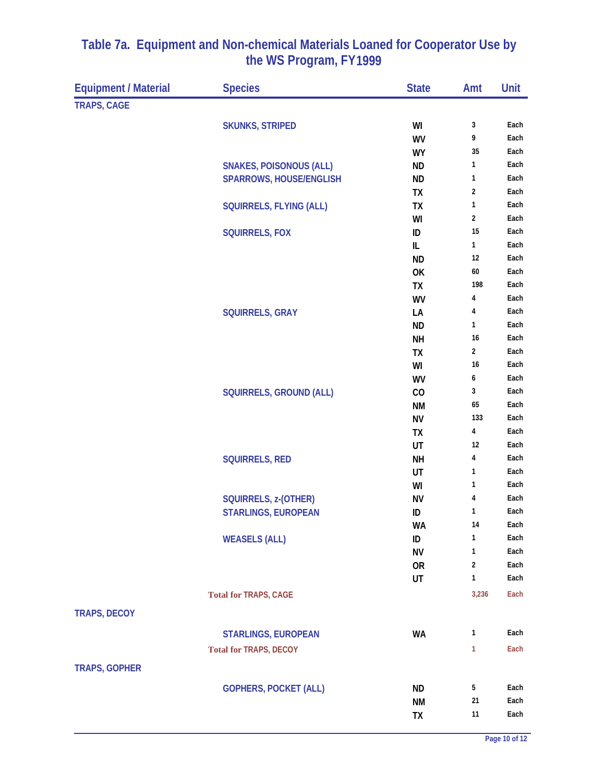| <b>Equipment / Material</b> | <b>Species</b>                 | <b>State</b> | Amt                     | Unit |
|-----------------------------|--------------------------------|--------------|-------------------------|------|
| <b>TRAPS, CAGE</b>          |                                |              |                         |      |
|                             | <b>SKUNKS, STRIPED</b>         | WI           | 3                       | Each |
|                             |                                | WV           | 9                       | Each |
|                             |                                | <b>WY</b>    | 35                      | Each |
|                             | <b>SNAKES, POISONOUS (ALL)</b> | <b>ND</b>    | 1                       | Each |
|                             | <b>SPARROWS, HOUSE/ENGLISH</b> | <b>ND</b>    | 1                       | Each |
|                             |                                | TX           | $\sqrt{2}$              | Each |
|                             | SQUIRRELS, FLYING (ALL)        | TX           | $\mathbf{1}$            | Each |
|                             |                                | WI           | $\sqrt{2}$              | Each |
|                             | <b>SQUIRRELS, FOX</b>          | ID           | 15                      | Each |
|                             |                                | IL           | 1                       | Each |
|                             |                                | <b>ND</b>    | 12                      | Each |
|                             |                                | OK           | 60                      | Each |
|                             |                                | TX           | 198                     | Each |
|                             |                                | WV           | 4                       | Each |
|                             | <b>SQUIRRELS, GRAY</b>         | LA           | 4                       | Each |
|                             |                                | <b>ND</b>    | 1                       | Each |
|                             |                                | <b>NH</b>    | 16                      | Each |
|                             |                                | TX           | $\overline{\mathbf{c}}$ | Each |
|                             |                                | WI           | 16                      | Each |
|                             |                                | WV           | 6                       | Each |
|                             | <b>SQUIRRELS, GROUND (ALL)</b> | CO           | 3                       | Each |
|                             |                                | <b>NM</b>    | 65                      | Each |
|                             |                                | <b>NV</b>    | 133                     | Each |
|                             |                                | <b>TX</b>    | 4                       | Each |
|                             |                                | UT           | 12                      | Each |
|                             | <b>SQUIRRELS, RED</b>          | <b>NH</b>    | 4                       | Each |
|                             |                                | UT           | 1                       | Each |
|                             |                                | WI           | 1                       | Each |
|                             | SQUIRRELS, z-(OTHER)           | <b>NV</b>    | 4                       | Each |
|                             | <b>STARLINGS, EUROPEAN</b>     | ID           | 1                       | Each |
|                             |                                | <b>WA</b>    | 14                      | Each |
|                             | <b>WEASELS (ALL)</b>           | ID           | 1                       | Each |
|                             |                                | <b>NV</b>    | 1                       | Each |
|                             |                                | <b>OR</b>    | $\overline{2}$<br>1     | Each |
|                             |                                | UT           |                         | Each |
|                             | <b>Total for TRAPS, CAGE</b>   |              | 3,236                   | Each |
| <b>TRAPS, DECOY</b>         |                                |              |                         |      |
|                             | <b>STARLINGS, EUROPEAN</b>     | <b>WA</b>    | 1                       | Each |
|                             | <b>Total for TRAPS, DECOY</b>  |              | 1                       | Each |
| <b>TRAPS, GOPHER</b>        |                                |              |                         |      |
|                             | <b>GOPHERS, POCKET (ALL)</b>   | <b>ND</b>    | 5                       | Each |
|                             |                                | <b>NM</b>    | 21                      | Each |
|                             |                                | TX           | 11                      | Each |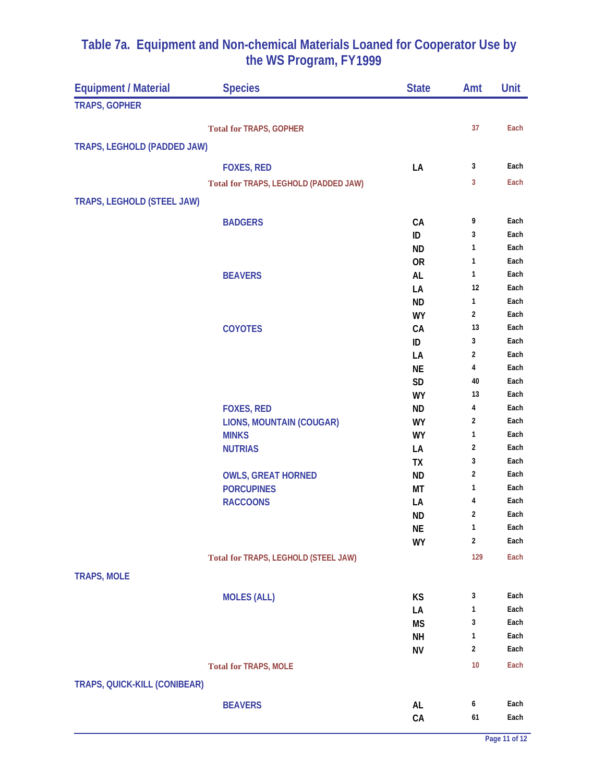| <b>Equipment / Material</b>  | <b>Species</b>                        | <b>State</b>           | Amt            | Unit         |
|------------------------------|---------------------------------------|------------------------|----------------|--------------|
| <b>TRAPS, GOPHER</b>         |                                       |                        |                |              |
|                              |                                       |                        | 37             | Each         |
|                              | <b>Total for TRAPS, GOPHER</b>        |                        |                |              |
| TRAPS, LEGHOLD (PADDED JAW)  |                                       |                        |                |              |
|                              | <b>FOXES, RED</b>                     | LA                     | 3              | Each         |
|                              | Total for TRAPS, LEGHOLD (PADDED JAW) |                        | 3              | Each         |
| TRAPS, LEGHOLD (STEEL JAW)   |                                       |                        |                |              |
|                              |                                       |                        |                |              |
|                              | <b>BADGERS</b>                        | CA<br>ID               | 9<br>3         | Each<br>Each |
|                              |                                       | <b>ND</b>              | 1              | Each         |
|                              |                                       | <b>OR</b>              | 1              | Each         |
|                              | <b>BEAVERS</b>                        | <b>AL</b>              | 1              | Each         |
|                              |                                       | LA                     | 12             | Each         |
|                              |                                       | <b>ND</b>              | 1              | Each         |
|                              |                                       | <b>WY</b>              | $\overline{2}$ | Each         |
|                              | <b>COYOTES</b>                        | CA                     | 13             | Each         |
|                              |                                       | ID                     | 3              | Each         |
|                              |                                       | LA                     | $\overline{2}$ | Each<br>Each |
|                              |                                       | <b>NE</b><br><b>SD</b> | 4<br>40        | Each         |
|                              |                                       | <b>WY</b>              | 13             | Each         |
|                              | <b>FOXES, RED</b>                     | <b>ND</b>              | 4              | Each         |
|                              | <b>LIONS, MOUNTAIN (COUGAR)</b>       | <b>WY</b>              | 2              | Each         |
|                              | <b>MINKS</b>                          | <b>WY</b>              | 1              | Each         |
|                              | <b>NUTRIAS</b>                        | LA                     | 2              | Each         |
|                              |                                       | TX                     | 3              | Each         |
|                              | <b>OWLS, GREAT HORNED</b>             | <b>ND</b>              | 2              | Each         |
|                              | <b>PORCUPINES</b>                     | МT                     | 1              | Each<br>Each |
|                              | <b>RACCOONS</b>                       | LA<br><b>ND</b>        | 4<br>2         | Each         |
|                              |                                       | NE                     | 1              | Each         |
|                              |                                       | <b>WY</b>              | $\overline{2}$ | Each         |
|                              | Total for TRAPS, LEGHOLD (STEEL JAW)  |                        | 129            | Each         |
|                              |                                       |                        |                |              |
| <b>TRAPS, MOLE</b>           |                                       |                        |                |              |
|                              | <b>MOLES (ALL)</b>                    | KS                     | 3              | Each         |
|                              |                                       | LA                     | 1              | Each         |
|                              |                                       | <b>MS</b>              | 3              | Each         |
|                              |                                       | <b>NH</b>              | 1              | Each         |
|                              |                                       | <b>NV</b>              | $\overline{2}$ | Each         |
|                              | <b>Total for TRAPS, MOLE</b>          |                        | 10             | Each         |
| TRAPS, QUICK-KILL (CONIBEAR) |                                       |                        |                |              |
|                              | <b>BEAVERS</b>                        | AL                     | 6              | Each         |
|                              |                                       | CA                     | 61             | Each         |
|                              |                                       |                        |                |              |